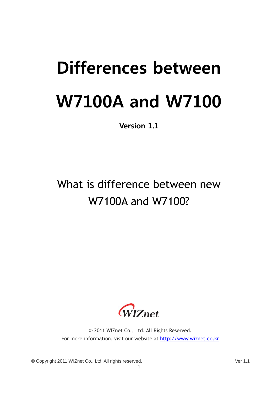# Differences between W7100A and W7100

Version 1.1

## What is difference between new W7100A and W7100?



© 2011 WIZnet Co., Ltd. All Rights Reserved. For more information, visit our website at [http://www.wiznet.co.kr](http://www.wiznet.co.kr/)

1

© Copyright 2011 WIZnet Co., Ltd. All rights reserved. Ver 1.1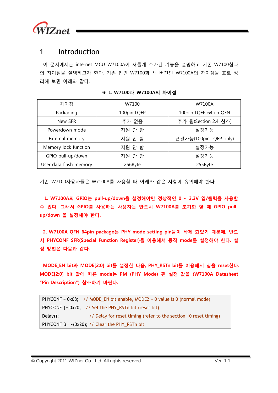

#### 1 Introduction

이 문서에서는 internet MCU W7100A에 새롭게 추가된 기능을 설명하고 기존 W7100칩과 의 차이점을 설명하고자 한다. 기존 칩인 W7100과 새 버전인 W7100A의 차이점을 표로 정 리해 보면 아래와 같다.

| 차이점                    | W7100       | W7100A                 |  |
|------------------------|-------------|------------------------|--|
| Packaging              | 100pin LQFP | 100pin LQFP, 64pin QFN |  |
| New SFR                | 추가 없음       | 추가 됨(Section 2.4 참조)   |  |
| Powerdown mode         | 지원 안 함      | 설정가능                   |  |
| External memory        | 지원 안 함      | 연결가능(100pin LQFP only) |  |
| Memory lock function   | 지원 안 함      | 설정가능                   |  |
| GPIO pull-up/down      | 지원 안 함      | 설정가능                   |  |
| User data flash memory | 256Byte     | 255Byte                |  |

표 1. W7100과 W7100A의 차이점

기존 W7100사용자들은 W7100A를 사용할 때 아래와 같은 사항에 유의해야 한다.

1. W7100A의 GPIO는 pull-up/down을 설정해야만 정상적인 0 ~ 3.3V 입/출력을 사용할 수 있다. 그래서 GPIO를 사용하는 사용자는 반드시 W7100A를 초기화 할 때 GPIO pullup/down 을 설정해야 한다.

2. W7100A QFN 64pin package는 PHY mode setting pin들이 삭제 되었기 때문에, 반드 시 PHYCONF SFR(Special Function Register)을 이용해서 동작 mode를 설정해야 한다. 설 정 방법은 다음과 같다.

MODE\_EN bit와 MODE[2:0] bit를 설정한 다음, PHY\_RSTn bit를 이용해서 칩을 reset한다. MODE[2:0] bit 값에 따른 mode는 PM (PHY Mode) 핀 설정 값을 (W7100A Datasheet "Pin Description") 참조하기 바란다.

```
PHYCONF = 0x08; // MODE_EN bit enable, MODE2 \sim 0 value is 0 (normal mode)
PHYCONF |= 0x20; // Set the PHY_RSTn bit (reset bit)
Delay(); \frac{1}{2} // Delay for reset timing (refer to the section 10 reset timing)
PHYCONF \hat{a} = -(0x20); // Clear the PHY_RSTn bit
```
© Copyright 2011 WIZnet Co., Ltd. All rights reserved. Ver. 1.1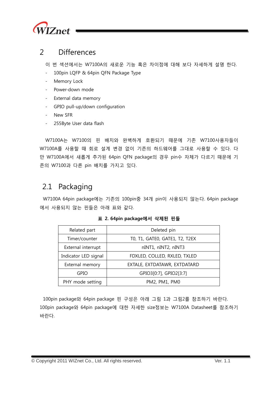

#### 2 Differences

이 번 섹션에서는 W7100A의 새로운 기능 혹은 차이점에 대해 보다 자세하게 설명 한다.

- 100pin LQFP & 64pin QFN Package Type
- Memory Lock
- Power-down mode
- External data memory
- GPIO pull-up/down configuration
- New SFR
- 255Byte User data flash

W7100A는 W7100의 핀 배치와 완벽하게 호환되기 때문에 기존 W7100사용자들이 W7100A를 사용할 때 회로 설계 변경 없이 기존의 하드웨어를 그대로 사용할 수 있다. 다 만 W7100A에서 새롭게 추가된 64pin QFN package의 경우 pin수 자체가 다르기 때문에 기 존의 W7100과 다른 pin 배치를 가지고 있다.

### 2.1 Packaging

W7100A 64pin package에는 기존의 100pin중 34개 pin이 사용되지 않는다. 64pin package 에서 사용되지 않는 핀들은 아래 표와 같다.

| Related part         | Deleted pin                    |  |
|----------------------|--------------------------------|--|
| Timer/counter        | TO, T1, GATEO, GATE1, T2, T2EX |  |
| External interrupt   | nINT1, nINT2, nINT3            |  |
| Indicator LED signal | FDXLED, COLLED, RXLED, TXLED   |  |
| External memory      | EXTALE, EXTDATAWR, EXTDATARD   |  |
| <b>GPIO</b>          | GPIO3[0:7], GPIO2[3:7]         |  |
| PHY mode setting     | PM2, PM1, PM0                  |  |

#### 표 2. 64pin package에서 삭제된 핀들

100pin package와 64pin package 핀 구성은 아래 그림 1과 그림2를 참조하기 바란다. 100pin package와 64pin package에 대한 자세한 size정보는 W7100A Datasheet를 참조하기 바란다.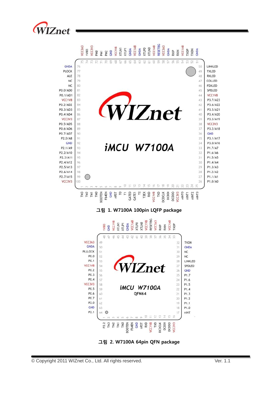





그림 2. W7100A 64pin QFN package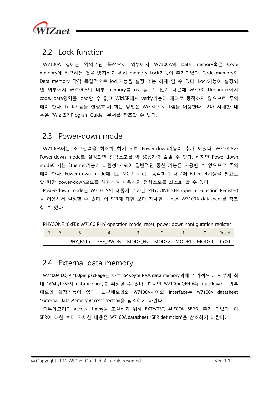

#### 2.2 Lock function

W7100A 칩에는 악의적인 목적으로 외부에서 W7100A의 Data memory혹은 Code memory에 접근하는 것을 방지하기 위해 memory Lock기능이 추가되었다. Code memory와 Data memory 각각 독립적으로 lock기능을 설정 또는 해제 할 수 있다. Lock기능이 설정되 면 외부에서 W7100A의 내부 memory를 read할 수 없기 때문에 W7100 Debugger에서 code, data영역을 load할 수 없고 WizISP에서 verify기능이 제대로 동작하지 않으므로 주의 해야 한다. Lock기능을 설정/해제 하는 방법은 WizISP프로그램을 이용한다. 보다 자세한 내 용은 "Wiz ISP Program Guide" 문서를 참조할 수 있다.

#### 2.3 Power-down mode

W7100A에는 소모전력을 최소화 하기 위해 Power-down기능이 추가 되었다. W7100A가 Power-down mode로 설정되면 전력소모를 약 50%가량 줄일 수 있다. 하지만 Power-down mode에서는 Ethernet기능이 비활성화 되어 일반적인 통신 기능은 사용할 수 없으므로 주의 해야 한다. Power-down mode에서도 MCU core는 동작하기 때문에 Ethernet기능을 필요로 할 때만 power-down모드를 해제하여 사용하면 전력소모를 최소화 할 수 있다.

Power-down mode는 W7100A의 새롭게 추가된 PHYCONF SFR (Special Function Register) 을 이용해서 설정할 수 있다. 이 SFR에 대한 보다 자세한 내용은 W7100A datasheet를 참조 할 수 있다.

PHYCONF (0xFE): W7100 PHY operation mode, reset, power down configuration register

|  |                                                      |  |  | Reset |
|--|------------------------------------------------------|--|--|-------|
|  | - - PHY RSTn PHY PWDN MODE EN MODE2 MODE1 MODE0 0x00 |  |  |       |

### 2.4 External data memory

W7100A LQFP 100pin package는 내부 64Kbyte RAM data memory외에 추가적으로 외부에 최 대 16Mbyte까지 data memory를 확장할 수 있다. 하지만 W7100A QFN 64pin package는 외부 메모리 확장기능이 없다. 외부메모리와 W7100A사이의 interface는 W7100A datasheet 'External Data Memory Access' section을 참조하기 바란다.

외부메모리의 access timing을 조절하기 위해 EXTWTST, ALECON SFR이 추가 되었다. 이 SFR에 대한 보다 자세한 내용은 W7100A datasheet 'SFR definition'을 참조하기 바란다.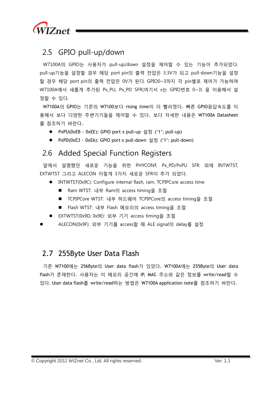

### 2.5 GPIO pull-up/down

W7100A의 GPIO는 사용자가 pull-up/down 설정을 제어할 수 있는 기능이 추가되었다. pull-up기능을 설정할 경우 해당 port pin의 출력 전압은 3.3V가 되고 pull-down기능을 설정 할 경우 해당 port pin의 출력 전압은 0V가 된다. GPIO0~3까지 각 pin별로 제어가 가능하며 W7100A에서 새롭게 추가된 Px\_PU, Px\_PD SFR(여기서 x는 GPIO번호 0~3) 을 이용해서 설 정할 수 있다.

W7100A의 GPIO는 기존의 W7100보다 rising time이 더 빨라졌다. 빠른 GPIO응답속도를 이 용해서 보다 다양한 주변기기들을 제어할 수 있다. 보다 자세한 내용은 W7100A Datasheet 를 참조하기 바란다.

- PxPU(0xEB ~ 0xEE): GPIO port x pull-up 설정 ('1': pull-up)
- PxPD(0xE3 ~ 0xE6): GPIO port x pull-down 설정 ('1': pull-down)

### 2.6 Added Special Function Registers

앞에서 설명했던 새로운 기능을 위한 PHYCONF, Px\_PD/PxPU SFR 외에 INTWTST, EXTWTST 그리고 ALECON 이렇게 3가지 새로운 SFR이 추가 되었다.

- INTWTST(0x9C): Configure internal flash, ram, TCPIPCore access time
	- Ram WTST: 내부 Ram의 access timing을 조절
	- TCPIPCore WTST: 내부 하드웨어 TCPIPCore의 access timing을 조절
	- Flash WTST: 내부 Flash 메모리의 access timing을 조절
- EXTWTST(0x9D, 0x9E): 외부 기기 access timing을 조절
- ALECON(0x9F): 외부 기기를 access할 때 ALE signal의 delay를 설정

### 2.7 255Byte User Data Flash

기존 W7100에는 256Byte의 User data flash가 있었다. W7100A에는 255Byte의 User data flash가 존재한다. 사용자는 이 메모리 공간에 IP, MAC 주소와 같은 정보를 write/read할 수 있다. User data flash를 write/read하는 방법은 W7100A application note를 참조하기 바란다.